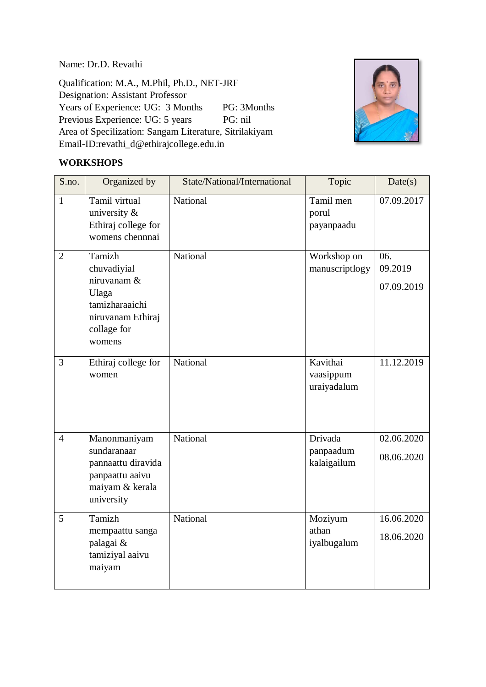Name: Dr.D. Revathi

Qualification: M.A., M.Phil, Ph.D., NET-JRF Designation: Assistant Professor Years of Experience: UG: 3 Months PG: 3 Months Previous Experience: UG: 5 years PG: nil Area of Specilization: Sangam Literature, Sitrilakiyam Email-ID:revathi\_d@ethirajcollege.edu.in



#### **WORKSHOPS**

| S.no.          | Organized by                                                                                                  | State/National/International | Topic                                | Date(s)                      |
|----------------|---------------------------------------------------------------------------------------------------------------|------------------------------|--------------------------------------|------------------------------|
| $\mathbf{1}$   | Tamil virtual<br>university &<br>Ethiraj college for<br>womens chennnai                                       | National                     | Tamil men<br>porul<br>payanpaadu     | 07.09.2017                   |
| $\overline{2}$ | Tamizh<br>chuvadiyial<br>niruvanam &<br>Ulaga<br>tamizharaaichi<br>niruvanam Ethiraj<br>collage for<br>womens | National                     | Workshop on<br>manuscriptlogy        | 06.<br>09.2019<br>07.09.2019 |
| $\overline{3}$ | Ethiraj college for<br>women                                                                                  | National                     | Kavithai<br>vaasippum<br>uraiyadalum | 11.12.2019                   |
| $\overline{4}$ | Manonmaniyam<br>sundaranaar<br>pannaattu diravida<br>panpaattu aaivu<br>maiyam & kerala<br>university         | National                     | Drivada<br>panpaadum<br>kalaigailum  | 02.06.2020<br>08.06.2020     |
| 5              | Tamizh<br>mempaattu sanga<br>palagai &<br>tamiziyal aaivu<br>maiyam                                           | National                     | Moziyum<br>athan<br>iyalbugalum      | 16.06.2020<br>18.06.2020     |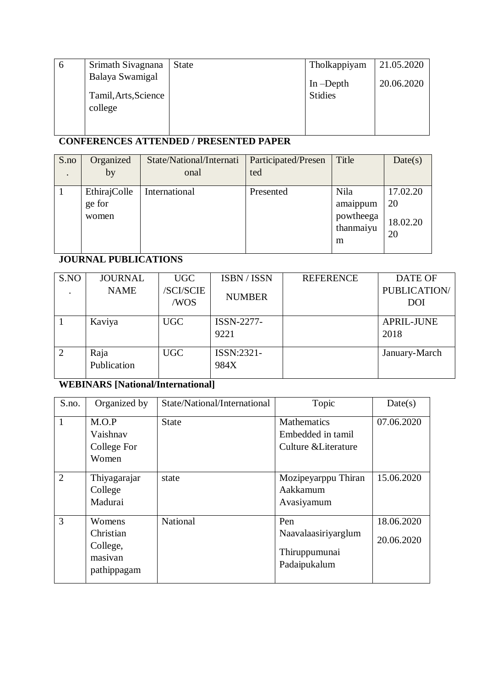| O | Srimath Sivagnana    | <b>State</b> | Tholkappiyam   | 21.05.2020 |
|---|----------------------|--------------|----------------|------------|
|   | Balaya Swamigal      |              | In $-D$ epth   | 20.06.2020 |
|   | Tamil, Arts, Science |              | <b>Stidies</b> |            |
|   | college              |              |                |            |
|   |                      |              |                |            |
|   |                      |              |                |            |

# **CONFERENCES ATTENDED / PRESENTED PAPER**

| S.no<br>$\bullet$ | Organized<br>by                 | State/National/Internati<br>onal | Participated/Presen<br>ted | Title                                           | Date(s)                          |
|-------------------|---------------------------------|----------------------------------|----------------------------|-------------------------------------------------|----------------------------------|
|                   | EthirajColle<br>ge for<br>women | International                    | Presented                  | Nila<br>amaippum<br>powtheega<br>thanmaiyu<br>m | 17.02.20<br>20<br>18.02.20<br>20 |

### **JOURNAL PUBLICATIONS**

| S.NO | <b>JOURNAL</b> | <b>UGC</b>      | ISBN / ISSN   | <b>REFERENCE</b> | <b>DATE OF</b>      |
|------|----------------|-----------------|---------------|------------------|---------------------|
|      | <b>NAME</b>    | <b>SCI/SCIE</b> | <b>NUMBER</b> |                  | <b>PUBLICATION/</b> |
|      |                | /WOS            |               |                  | <b>DOI</b>          |
|      |                |                 |               |                  |                     |
|      | Kaviya         | <b>UGC</b>      | ISSN-2277-    |                  | <b>APRIL-JUNE</b>   |
|      |                |                 | 9221          |                  | 2018                |
|      |                |                 |               |                  |                     |
| 2    | Raja           | <b>UGC</b>      | ISSN:2321-    |                  | January-March       |
|      | Publication    |                 | 984X          |                  |                     |
|      |                |                 |               |                  |                     |

## **WEBINARS [National/International]**

| S.no.          | Organized by                                              | State/National/International | Topic                                                           | Date(s)                  |
|----------------|-----------------------------------------------------------|------------------------------|-----------------------------------------------------------------|--------------------------|
| $\mathbf{1}$   | M.O.P<br>Vaishnav<br>College For<br>Women                 | <b>State</b>                 | <b>Mathematics</b><br>Embedded in tamil<br>Culture & Literature | 07.06.2020               |
| $\overline{2}$ | Thiyagarajar<br>College<br>Madurai                        | state                        | Mozipeyarppu Thiran<br>Aakkamum<br>Avasiyamum                   | 15.06.2020               |
| 3              | Womens<br>Christian<br>College,<br>masivan<br>pathippagam | National                     | Pen<br>Naavalaasiriyarglum<br>Thiruppumunai<br>Padaipukalum     | 18.06.2020<br>20.06.2020 |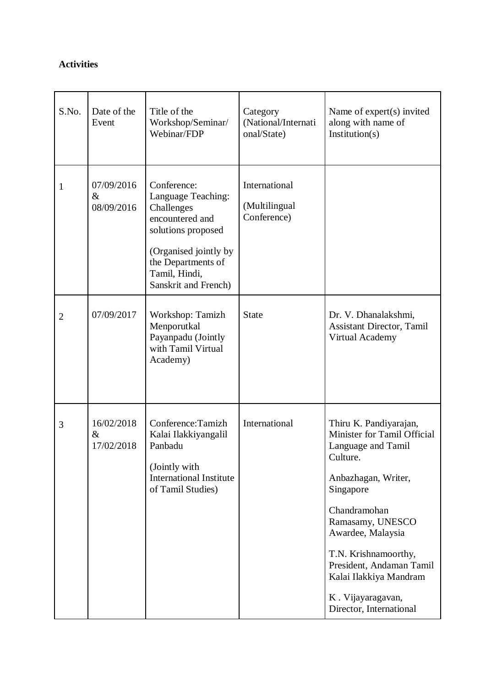#### **Activities**

| S.No.          | Date of the<br>Event             | Title of the<br>Workshop/Seminar/<br>Webinar/FDP                                                                                                                                 | Category<br>(National/Internati<br>onal/State) | Name of expert(s) invited<br>along with name of<br>Institution(s)                                                                                                                                                                                                                                                  |
|----------------|----------------------------------|----------------------------------------------------------------------------------------------------------------------------------------------------------------------------------|------------------------------------------------|--------------------------------------------------------------------------------------------------------------------------------------------------------------------------------------------------------------------------------------------------------------------------------------------------------------------|
| 1              | 07/09/2016<br>$\&$<br>08/09/2016 | Conference:<br>Language Teaching:<br>Challenges<br>encountered and<br>solutions proposed<br>(Organised jointly by<br>the Departments of<br>Tamil, Hindi,<br>Sanskrit and French) | International<br>(Multilingual<br>Conference)  |                                                                                                                                                                                                                                                                                                                    |
| $\overline{2}$ | 07/09/2017                       | Workshop: Tamizh<br>Menporutkal<br>Payanpadu (Jointly<br>with Tamil Virtual<br>Academy)                                                                                          | <b>State</b>                                   | Dr. V. Dhanalakshmi,<br><b>Assistant Director, Tamil</b><br>Virtual Academy                                                                                                                                                                                                                                        |
| 3              | 16/02/2018<br>$\&$<br>17/02/2018 | Conference: Tamizh<br>Kalai Ilakkiyangalil<br>Panbadu<br>(Jointly with<br><b>International Institute</b><br>of Tamil Studies)                                                    | International                                  | Thiru K. Pandiyarajan,<br>Minister for Tamil Official<br>Language and Tamil<br>Culture.<br>Anbazhagan, Writer,<br>Singapore<br>Chandramohan<br>Ramasamy, UNESCO<br>Awardee, Malaysia<br>T.N. Krishnamoorthy,<br>President, Andaman Tamil<br>Kalai Ilakkiya Mandram<br>K. Vijayaragavan,<br>Director, International |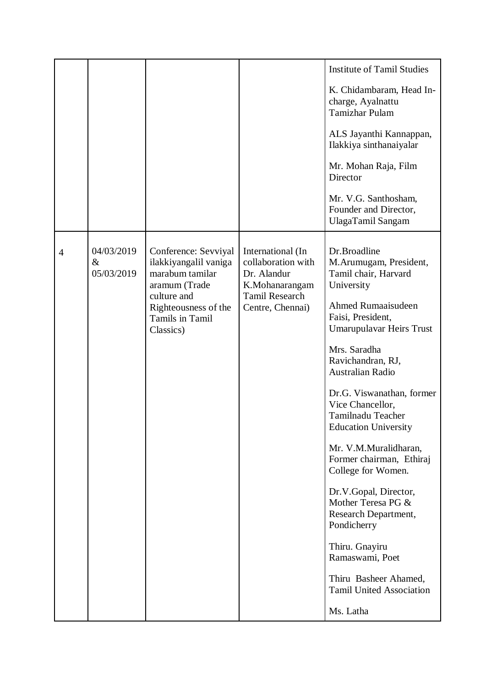|                |                                  |                                                                                   |                                                                          | <b>Institute of Tamil Studies</b>                                                                 |
|----------------|----------------------------------|-----------------------------------------------------------------------------------|--------------------------------------------------------------------------|---------------------------------------------------------------------------------------------------|
|                |                                  |                                                                                   |                                                                          | K. Chidambaram, Head In-<br>charge, Ayalnattu<br><b>Tamizhar Pulam</b>                            |
|                |                                  |                                                                                   |                                                                          | ALS Jayanthi Kannappan,<br>Ilakkiya sinthanaiyalar                                                |
|                |                                  |                                                                                   |                                                                          | Mr. Mohan Raja, Film<br>Director                                                                  |
|                |                                  |                                                                                   |                                                                          | Mr. V.G. Santhosham,<br>Founder and Director,<br>UlagaTamil Sangam                                |
| $\overline{4}$ | 04/03/2019<br>$\&$<br>05/03/2019 | Conference: Sevviyal<br>ilakkiyangalil vaniga<br>marabum tamilar<br>aramum (Trade | International (In<br>collaboration with<br>Dr. Alandur<br>K.Mohanarangam | Dr.Broadline<br>M.Arumugam, President,<br>Tamil chair, Harvard<br>University                      |
|                |                                  | culture and<br>Righteousness of the<br>Tamils in Tamil<br>Classics)               | <b>Tamil Research</b><br>Centre, Chennai)                                | Ahmed Rumaaisudeen<br>Faisi, President,<br><b>Umarupulavar Heirs Trust</b>                        |
|                |                                  |                                                                                   |                                                                          | Mrs. Saradha<br>Ravichandran, RJ,<br><b>Australian Radio</b>                                      |
|                |                                  |                                                                                   |                                                                          | Dr.G. Viswanathan, former<br>Vice Chancellor,<br>Tamilnadu Teacher<br><b>Education University</b> |
|                |                                  |                                                                                   |                                                                          | Mr. V.M.Muralidharan,<br>Former chairman, Ethiraj<br>College for Women.                           |
|                |                                  |                                                                                   |                                                                          | Dr.V.Gopal, Director,<br>Mother Teresa PG &<br>Research Department,<br>Pondicherry                |
|                |                                  |                                                                                   |                                                                          | Thiru. Gnayiru<br>Ramaswami, Poet                                                                 |
|                |                                  |                                                                                   |                                                                          | Thiru Basheer Ahamed,<br><b>Tamil United Association</b>                                          |
|                |                                  |                                                                                   |                                                                          | Ms. Latha                                                                                         |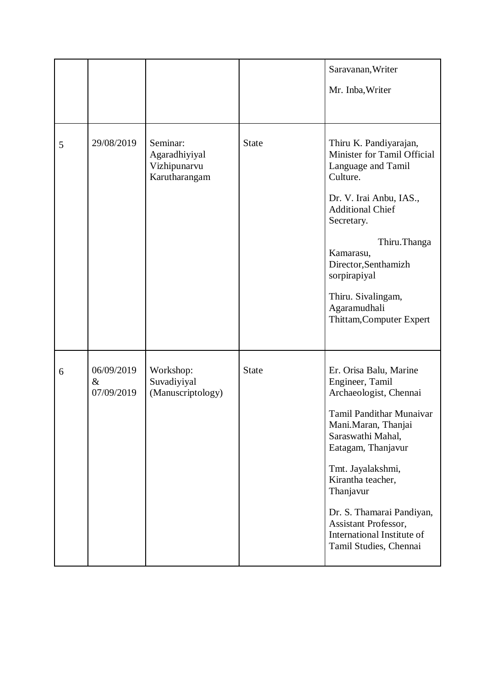|   |                                  |                                                            |              | Saravanan, Writer                                                                                                                                                                                                                                      |
|---|----------------------------------|------------------------------------------------------------|--------------|--------------------------------------------------------------------------------------------------------------------------------------------------------------------------------------------------------------------------------------------------------|
|   |                                  |                                                            |              | Mr. Inba, Writer                                                                                                                                                                                                                                       |
|   |                                  |                                                            |              |                                                                                                                                                                                                                                                        |
| 5 | 29/08/2019                       | Seminar:<br>Agaradhiyiyal<br>Vizhipunarvu<br>Karutharangam | <b>State</b> | Thiru K. Pandiyarajan,<br>Minister for Tamil Official<br>Language and Tamil<br>Culture.<br>Dr. V. Irai Anbu, IAS.,<br><b>Additional Chief</b><br>Secretary.<br>Thiru.Thanga<br>Kamarasu,<br>Director, Senthamizh<br>sorpirapiyal<br>Thiru. Sivalingam, |
|   |                                  |                                                            |              | Agaramudhali<br>Thittam, Computer Expert                                                                                                                                                                                                               |
| 6 | 06/09/2019<br>$\&$<br>07/09/2019 | Workshop:<br>Suvadiyiyal<br>(Manuscriptology)              | <b>State</b> | Er. Orisa Balu, Marine<br>Engineer, Tamil<br>Archaeologist, Chennai<br><b>Tamil Pandithar Munaivar</b><br>Mani.Maran, Thanjai<br>Saraswathi Mahal,<br>Eatagam, Thanjavur                                                                               |
|   |                                  |                                                            |              | Tmt. Jayalakshmi,<br>Kirantha teacher,<br>Thanjavur                                                                                                                                                                                                    |
|   |                                  |                                                            |              | Dr. S. Thamarai Pandiyan,<br><b>Assistant Professor,</b><br>International Institute of<br>Tamil Studies, Chennai                                                                                                                                       |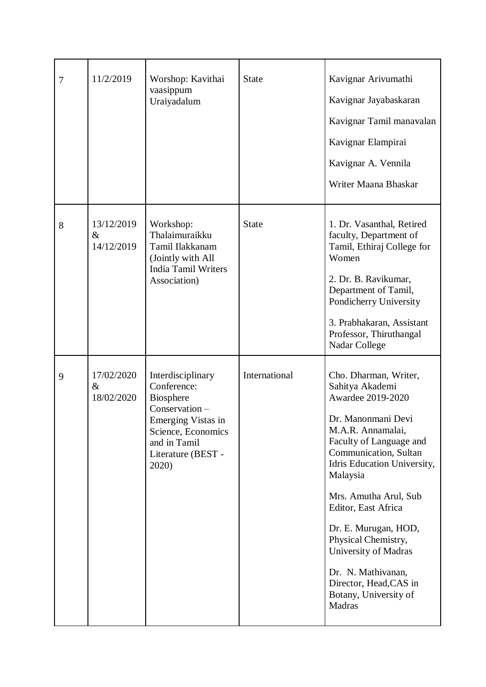| $\overline{7}$ | 11/2/2019                        | Worshop: Kavithai<br>vaasippum<br>Uraiyadalum                                                                                                                     | <b>State</b>  | Kavignar Arivumathi<br>Kavignar Jayabaskaran<br>Kavignar Tamil manavalan<br>Kavignar Elampirai<br>Kavignar A. Vennila<br>Writer Maana Bhaskar                                                                                                                                                                                                                                                                     |
|----------------|----------------------------------|-------------------------------------------------------------------------------------------------------------------------------------------------------------------|---------------|-------------------------------------------------------------------------------------------------------------------------------------------------------------------------------------------------------------------------------------------------------------------------------------------------------------------------------------------------------------------------------------------------------------------|
| 8              | 13/12/2019<br>$\&$<br>14/12/2019 | Workshop:<br>Thalaimuraikku<br>Tamil Ilakkanam<br>(Jointly with All<br><b>India Tamil Writers</b><br>Association)                                                 | <b>State</b>  | 1. Dr. Vasanthal, Retired<br>faculty, Department of<br>Tamil, Ethiraj College for<br>Women<br>2. Dr. B. Ravikumar,<br>Department of Tamil,<br>Pondicherry University<br>3. Prabhakaran, Assistant<br>Professor, Thiruthangal<br>Nadar College                                                                                                                                                                     |
| 9              | 17/02/2020<br>$\&$<br>18/02/2020 | Interdisciplinary<br>Conference:<br><b>Biosphere</b><br>Conservation -<br>Emerging Vistas in<br>Science, Economics<br>and in Tamil<br>Literature (BEST -<br>2020) | International | Cho. Dharman, Writer,<br>Sahitya Akademi<br>Awardee 2019-2020<br>Dr. Manonmani Devi<br>M.A.R. Annamalai,<br>Faculty of Language and<br>Communication, Sultan<br>Idris Education University,<br>Malaysia<br>Mrs. Amutha Arul, Sub<br>Editor, East Africa<br>Dr. E. Murugan, HOD,<br>Physical Chemistry,<br>University of Madras<br>Dr. N. Mathivanan,<br>Director, Head, CAS in<br>Botany, University of<br>Madras |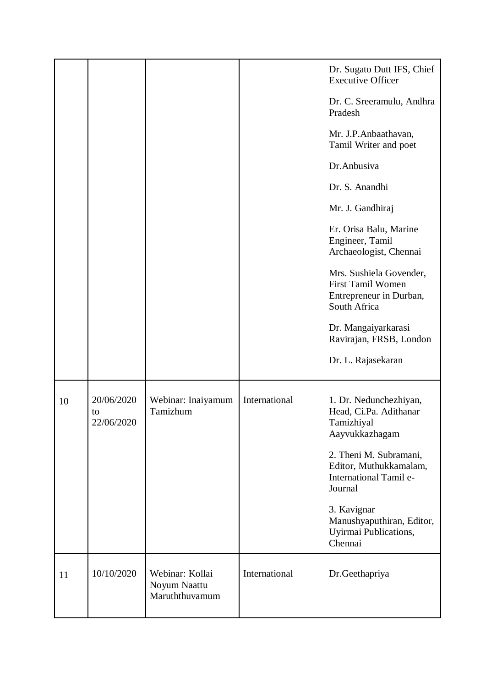|    |                                |                                                   |               | Dr. Sugato Dutt IFS, Chief<br><b>Executive Officer</b><br>Dr. C. Sreeramulu, Andhra<br>Pradesh<br>Mr. J.P.Anbaathavan,<br>Tamil Writer and poet<br>Dr.Anbusiva<br>Dr. S. Anandhi<br>Mr. J. Gandhiraj<br>Er. Orisa Balu, Marine<br>Engineer, Tamil<br>Archaeologist, Chennai<br>Mrs. Sushiela Govender,<br>First Tamil Women<br>Entrepreneur in Durban,<br>South Africa<br>Dr. Mangaiyarkarasi<br>Ravirajan, FRSB, London<br>Dr. L. Rajasekaran |
|----|--------------------------------|---------------------------------------------------|---------------|------------------------------------------------------------------------------------------------------------------------------------------------------------------------------------------------------------------------------------------------------------------------------------------------------------------------------------------------------------------------------------------------------------------------------------------------|
| 10 | 20/06/2020<br>to<br>22/06/2020 | Webinar: Inaiyamum<br>Tamizhum                    | International | 1. Dr. Nedunchezhiyan,<br>Head, Ci.Pa. Adithanar<br>Tamizhiyal<br>Aayvukkazhagam<br>2. Theni M. Subramani,<br>Editor, Muthukkamalam,<br>International Tamil e-<br>Journal<br>3. Kavignar<br>Manushyaputhiran, Editor,<br>Uyirmai Publications,<br>Chennai                                                                                                                                                                                      |
| 11 | 10/10/2020                     | Webinar: Kollai<br>Noyum Naattu<br>Maruththuvamum | International | Dr.Geethapriya                                                                                                                                                                                                                                                                                                                                                                                                                                 |